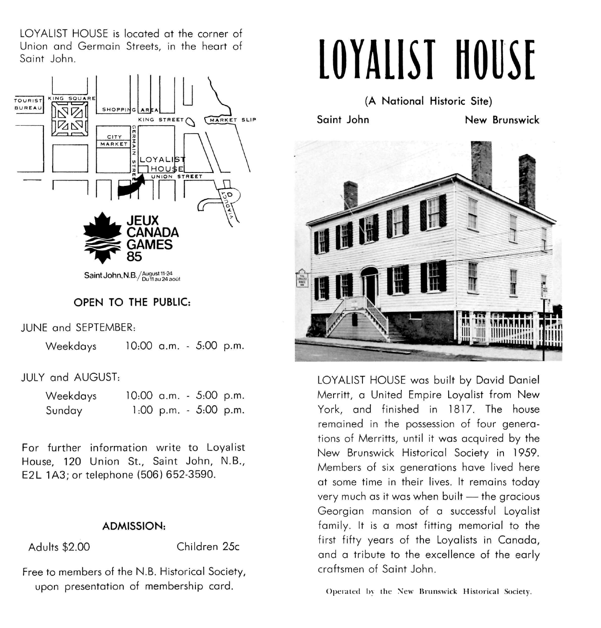LOYALIST HOUSE is located at the corner of Union and Germain Streets, in the heart of Saint John.



## **OPEN TO THE PUBLIC:**

JUNE and SEPTEMBER:

Weekdays 10:00 a.m. - 5:00 p.m.

JULY and AUGUST:

| Weekdays | 10:00 a.m. - 5:00 p.m. |  |                        |  |
|----------|------------------------|--|------------------------|--|
| Sunday   |                        |  | 1:00 p.m. $-5:00$ p.m. |  |

For further information write to Loyalist House, 120 Union St., Saint John, N.B., E2L 1A3; or telephone (506) 652-3590.

## **ADMISSION:**

Adults \$2.00 Children 25c

Free to members of the N.B. Historical Society, upon presentation of membership card.

## **LOYALIST HOUSE**

**(A National Historic Site)** 

Saint John **New Brunswick** 



LOYALIST HOUSE was built by David Daniel Merritt, a United Empire Loyalist from New York, and finished in 1817. The house remained in the possession of four generations of Merritts, until it was acquired by the New Brunswick Historical Society in 1959. Members of six generations have lived here at some time in their lives. It remains today very much as it was when built — the gracious Georgian mansion of a successful Loyalist family. It is a most fitting memorial to the first fifty years of the Loyalists in Canada, and a tribute to the excellence of the early craftsmen of Saint John.

Operated by the New Brunswick Historical Society.